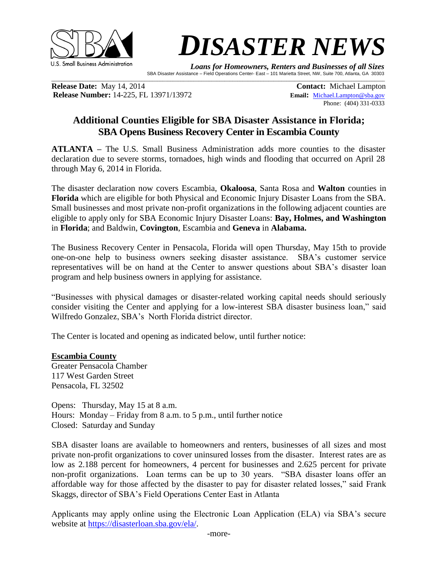



 *Loans for Homeowners, Renters and Businesses of all Sizes*  SBA Disaster Assistance – Field Operations Center- East – 101 Marietta Street, NW, Suite 700, Atlanta, GA 30303

**Release Date:** May 14, 2014 **Contact:** Michael Lampton **Release Number:** 14-225, FL 13971/13972 **Email:** [Michael.Lampton@sba.gov](mailto:Michael.Lampton@sba.gov)

Phone: (404) 331-0333

## **Additional Counties Eligible for SBA Disaster Assistance in Florida; SBA Opens Business Recovery Center in Escambia County**

 $\mathcal{L}_\mathcal{L} = \{ \mathcal{L}_\mathcal{L} = \{ \mathcal{L}_\mathcal{L} = \{ \mathcal{L}_\mathcal{L} = \{ \mathcal{L}_\mathcal{L} = \{ \mathcal{L}_\mathcal{L} = \{ \mathcal{L}_\mathcal{L} = \{ \mathcal{L}_\mathcal{L} = \{ \mathcal{L}_\mathcal{L} = \{ \mathcal{L}_\mathcal{L} = \{ \mathcal{L}_\mathcal{L} = \{ \mathcal{L}_\mathcal{L} = \{ \mathcal{L}_\mathcal{L} = \{ \mathcal{L}_\mathcal{L} = \{ \mathcal{L}_\mathcal{$ 

**ATLANTA –** The U.S. Small Business Administration adds more counties to the disaster declaration due to severe storms, tornadoes, high winds and flooding that occurred on April 28 through May 6, 2014 in Florida.

The disaster declaration now covers Escambia, **Okaloosa**, Santa Rosa and **Walton** counties in **Florida** which are eligible for both Physical and Economic Injury Disaster Loans from the SBA. Small businesses and most private non-profit organizations in the following adjacent counties are eligible to apply only for SBA Economic Injury Disaster Loans: **Bay, Holmes, and Washington** in **Florida**; and Baldwin, **Covington**, Escambia and **Geneva** in **Alabama.**

The Business Recovery Center in Pensacola, Florida will open Thursday, May 15th to provide one-on-one help to business owners seeking disaster assistance. SBA's customer service representatives will be on hand at the Center to answer questions about SBA's disaster loan program and help business owners in applying for assistance.

"Businesses with physical damages or disaster-related working capital needs should seriously consider visiting the Center and applying for a low-interest SBA disaster business loan," said Wilfredo Gonzalez, SBA's North Florida district director.

The Center is located and opening as indicated below, until further notice:

## **Escambia County**

Greater Pensacola Chamber 117 West Garden Street Pensacola, FL 32502

Opens: Thursday, May 15 at 8 a.m. Hours: Monday – Friday from 8 a.m. to 5 p.m., until further notice Closed: Saturday and Sunday

SBA disaster loans are available to homeowners and renters, businesses of all sizes and most private non-profit organizations to cover uninsured losses from the disaster. Interest rates are as low as 2.188 percent for homeowners, 4 percent for businesses and 2.625 percent for private non-profit organizations. Loan terms can be up to 30 years. "SBA disaster loans offer an affordable way for those affected by the disaster to pay for disaster related losses," said Frank Skaggs, director of SBA's Field Operations Center East in Atlanta

Applicants may apply online using the Electronic Loan Application (ELA) via SBA's secure website at [https://disasterloan.sba.gov/ela/.](https://disasterloan.sba.gov/ela/)